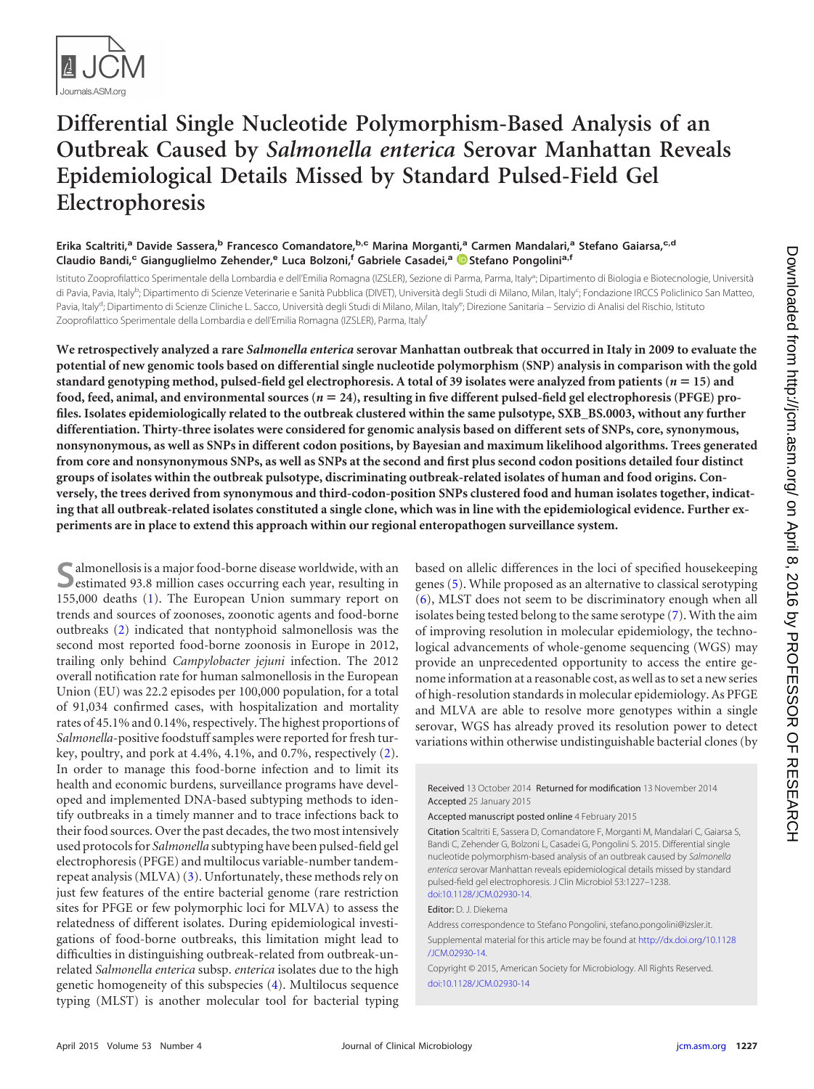

# **Differential Single Nucleotide Polymorphism-Based Analysis of an Outbreak Caused by** *Salmonella enterica* **Serovar Manhattan Reveals Epidemiological Details Missed by Standard Pulsed-Field Gel Electrophoresis**

## **Erika Scaltriti,<sup>a</sup> Davide Sassera,<sup>b</sup> Francesco Comandatore,b,c Marina Morganti,<sup>a</sup> Carmen Mandalari,<sup>a</sup> Stefano Gaiarsa,c,d Claudio Bandi,<sup>c</sup> Gianguglielmo Zehender,<sup>e</sup> Luca Bolzoni,<sup>f</sup> Gabriele Casadei,<sup>a</sup> [Stefano Pongolini](http://orcid.org/0000-0002-4823-3562)a,f**

Istituto Zooprofilattico Sperimentale della Lombardia e dell'Emilia Romagna (IZSLER), Sezione di Parma, Parma, Italy<sup>a</sup>; Dipartimento di Biologia e Biotecnologie, Università di Pavia, Pavia, Italy<sup>b</sup>; Dipartimento di Scienze Veterinarie e Sanità Pubblica (DIVET), Università degli Studi di Milano, Milan, Italy<sup>c</sup>; Fondazione IRCCS Policlinico San Matteo, Pavia, Italy<sup>d</sup>; Dipartimento di Scienze Cliniche L. Sacco, Università degli Studi di Milano, Milan, Italy<sup>e</sup>; Direzione Sanitaria – Servizio di Analisi del Rischio, Istituto Zooprofilattico Sperimentale della Lombardia e dell'Emilia Romagna (IZSLER), Parma, Italy<sup>f</sup>

**We retrospectively analyzed a rare** *Salmonella enterica* **serovar Manhattan outbreak that occurred in Italy in 2009 to evaluate the potential of new genomic tools based on differential single nucleotide polymorphism (SNP) analysis in comparison with the gold standard genotyping method, pulsed-field gel electrophoresis. A total of 39 isolates were analyzed from patients (***n* - **15) and food, feed, animal, and environmental sources (***n* - **24), resulting in five different pulsed-field gel electrophoresis (PFGE) profiles. Isolates epidemiologically related to the outbreak clustered within the same pulsotype, SXB\_BS.0003, without any further differentiation. Thirty-three isolates were considered for genomic analysis based on different sets of SNPs, core, synonymous, nonsynonymous, as well as SNPs in different codon positions, by Bayesian and maximum likelihood algorithms. Trees generated from core and nonsynonymous SNPs, as well as SNPs at the second and first plus second codon positions detailed four distinct groups of isolates within the outbreak pulsotype, discriminating outbreak-related isolates of human and food origins. Conversely, the trees derived from synonymous and third-codon-position SNPs clustered food and human isolates together, indicating that all outbreak-related isolates constituted a single clone, which was in line with the epidemiological evidence. Further experiments are in place to extend this approach within our regional enteropathogen surveillance system.**

Salmonellosis is a major food-borne disease worldwide, with an estimated 93.8 million cases occurring each year, resulting in 155,000 deaths [\(1\)](#page-10-0). The European Union summary report on trends and sources of zoonoses, zoonotic agents and food-borne outbreaks [\(2\)](#page-10-1) indicated that nontyphoid salmonellosis was the second most reported food-borne zoonosis in Europe in 2012, trailing only behind *Campylobacter jejuni* infection. The 2012 overall notification rate for human salmonellosis in the European Union (EU) was 22.2 episodes per 100,000 population, for a total of 91,034 confirmed cases, with hospitalization and mortality rates of 45.1% and 0.14%, respectively. The highest proportions of *Salmonella*-positive foodstuff samples were reported for fresh turkey, poultry, and pork at 4.4%, 4.1%, and 0.7%, respectively [\(2\)](#page-10-1). In order to manage this food-borne infection and to limit its health and economic burdens, surveillance programs have developed and implemented DNA-based subtyping methods to identify outbreaks in a timely manner and to trace infections back to their food sources. Over the past decades, the two most intensively used protocols for *Salmonella* subtyping have been pulsed-field gel electrophoresis (PFGE) and multilocus variable-number tandemrepeat analysis (MLVA) [\(3\)](#page-10-2). Unfortunately, these methods rely on just few features of the entire bacterial genome (rare restriction sites for PFGE or few polymorphic loci for MLVA) to assess the relatedness of different isolates. During epidemiological investigations of food-borne outbreaks, this limitation might lead to difficulties in distinguishing outbreak-related from outbreak-unrelated *Salmonella enterica* subsp. *enterica* isolates due to the high genetic homogeneity of this subspecies [\(4\)](#page-10-3). Multilocus sequence typing (MLST) is another molecular tool for bacterial typing

based on allelic differences in the loci of specified housekeeping genes [\(5\)](#page-10-4). While proposed as an alternative to classical serotyping [\(6\)](#page-10-5), MLST does not seem to be discriminatory enough when all isolates being tested belong to the same serotype [\(7\)](#page-10-6). With the aim of improving resolution in molecular epidemiology, the technological advancements of whole-genome sequencing (WGS) may provide an unprecedented opportunity to access the entire genome information at a reasonable cost, as well as to set a new series of high-resolution standards in molecular epidemiology. As PFGE and MLVA are able to resolve more genotypes within a single serovar, WGS has already proved its resolution power to detect variations within otherwise undistinguishable bacterial clones (by

Received 13 October 2014 Returned for modification 13 November 2014 Accepted 25 January 2015

Accepted manuscript posted online 4 February 2015

Citation Scaltriti E, Sassera D, Comandatore F, Morganti M, Mandalari C, Gaiarsa S, Bandi C, Zehender G, Bolzoni L, Casadei G, Pongolini S. 2015. Differential single nucleotide polymorphism-based analysis of an outbreak caused by *Salmonella enterica* serovar Manhattan reveals epidemiological details missed by standard pulsed-field gel electrophoresis. J Clin Microbiol 53:1227–1238. [doi:10.1128/JCM.02930-14.](http://dx.doi.org/10.1128/JCM.02930-14)

Editor: D. J. Diekema

Address correspondence to Stefano Pongolini, stefano.pongolini@izsler.it.

Supplemental material for this article may be found at [http://dx.doi.org/10.1128](http://dx.doi.org/10.1128/JCM.02930-14) [/JCM.02930-14.](http://dx.doi.org/10.1128/JCM.02930-14)

Copyright © 2015, American Society for Microbiology. All Rights Reserved. [doi:10.1128/JCM.02930-14](http://dx.doi.org/10.1128/JCM.02930-14)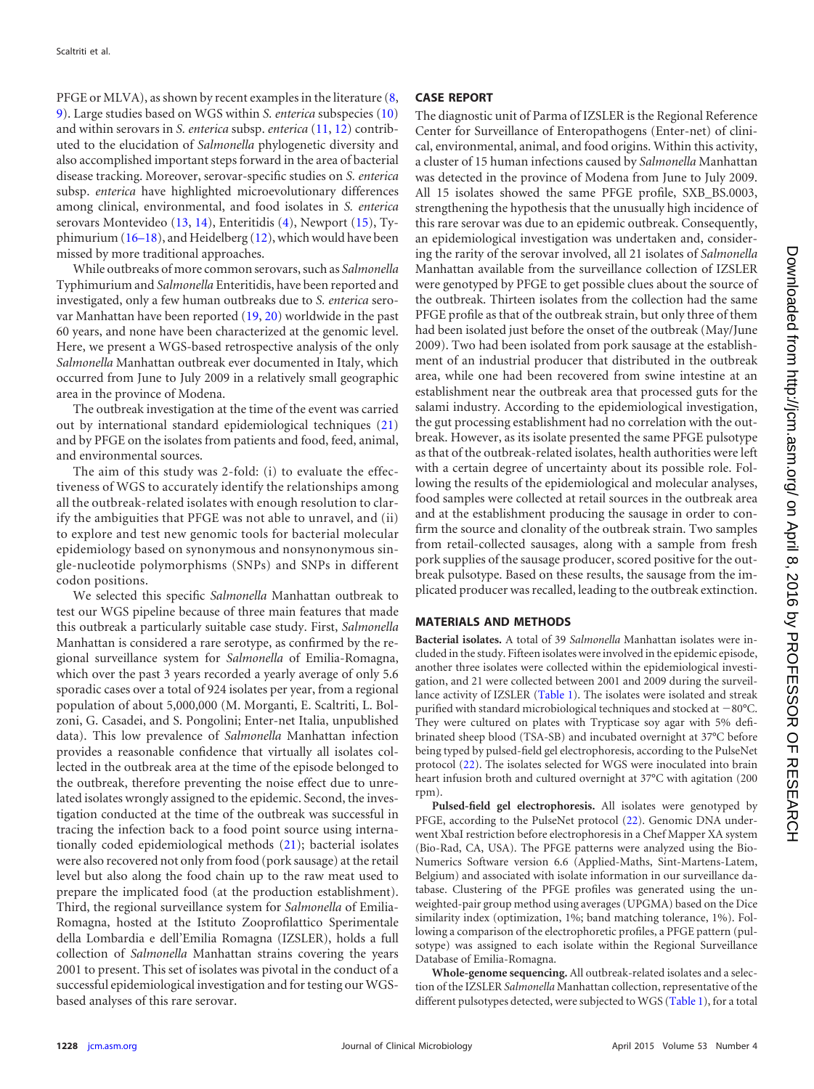PFGE or MLVA), as shown by recent examples in the literature [\(8,](#page-10-7) [9\)](#page-10-8). Large studies based on WGS within *S. enterica* subspecies [\(10\)](#page-10-9) and within serovars in *S. enterica* subsp. *enterica* [\(11,](#page-10-10) [12\)](#page-10-11) contributed to the elucidation of *Salmonella* phylogenetic diversity and also accomplished important steps forward in the area of bacterial disease tracking. Moreover, serovar-specific studies on *S. enterica* subsp. *enterica* have highlighted microevolutionary differences among clinical, environmental, and food isolates in *S. enterica* serovars Montevideo [\(13,](#page-10-12) [14\)](#page-10-13), Enteritidis [\(4\)](#page-10-3), Newport [\(15\)](#page-10-14), Typhimurium [\(16](#page-10-15)[–](#page-10-16)[18\)](#page-10-17), and Heidelberg [\(12\)](#page-10-11), which would have been missed by more traditional approaches.

While outbreaks of more common serovars, such as *Salmonella* Typhimurium and *Salmonella* Enteritidis, have been reported and investigated, only a few human outbreaks due to *S. enterica* serovar Manhattan have been reported [\(19,](#page-10-18) [20\)](#page-10-19) worldwide in the past 60 years, and none have been characterized at the genomic level. Here, we present a WGS-based retrospective analysis of the only *Salmonella* Manhattan outbreak ever documented in Italy, which occurred from June to July 2009 in a relatively small geographic area in the province of Modena.

The outbreak investigation at the time of the event was carried out by international standard epidemiological techniques [\(21\)](#page-10-20) and by PFGE on the isolates from patients and food, feed, animal, and environmental sources.

The aim of this study was 2-fold: (i) to evaluate the effectiveness of WGS to accurately identify the relationships among all the outbreak-related isolates with enough resolution to clarify the ambiguities that PFGE was not able to unravel, and (ii) to explore and test new genomic tools for bacterial molecular epidemiology based on synonymous and nonsynonymous single-nucleotide polymorphisms (SNPs) and SNPs in different codon positions.

We selected this specific *Salmonella* Manhattan outbreak to test our WGS pipeline because of three main features that made this outbreak a particularly suitable case study. First, *Salmonella* Manhattan is considered a rare serotype, as confirmed by the regional surveillance system for *Salmonella* of Emilia-Romagna, which over the past 3 years recorded a yearly average of only 5.6 sporadic cases over a total of 924 isolates per year, from a regional population of about 5,000,000 (M. Morganti, E. Scaltriti, L. Bolzoni, G. Casadei, and S. Pongolini; Enter-net Italia, unpublished data). This low prevalence of *Salmonella* Manhattan infection provides a reasonable confidence that virtually all isolates collected in the outbreak area at the time of the episode belonged to the outbreak, therefore preventing the noise effect due to unrelated isolates wrongly assigned to the epidemic. Second, the investigation conducted at the time of the outbreak was successful in tracing the infection back to a food point source using internationally coded epidemiological methods [\(21\)](#page-10-20); bacterial isolates were also recovered not only from food (pork sausage) at the retail level but also along the food chain up to the raw meat used to prepare the implicated food (at the production establishment). Third, the regional surveillance system for *Salmonella* of Emilia-Romagna, hosted at the Istituto Zooprofilattico Sperimentale della Lombardia e dell'Emilia Romagna (IZSLER), holds a full collection of *Salmonella* Manhattan strains covering the years 2001 to present. This set of isolates was pivotal in the conduct of a successful epidemiological investigation and for testing our WGSbased analyses of this rare serovar.

# **CASE REPORT**

The diagnostic unit of Parma of IZSLER is the Regional Reference Center for Surveillance of Enteropathogens (Enter-net) of clinical, environmental, animal, and food origins. Within this activity, a cluster of 15 human infections caused by *Salmonella* Manhattan was detected in the province of Modena from June to July 2009. All 15 isolates showed the same PFGE profile, SXB\_BS.0003, strengthening the hypothesis that the unusually high incidence of this rare serovar was due to an epidemic outbreak. Consequently, an epidemiological investigation was undertaken and, considering the rarity of the serovar involved, all 21 isolates of *Salmonella* Manhattan available from the surveillance collection of IZSLER were genotyped by PFGE to get possible clues about the source of the outbreak. Thirteen isolates from the collection had the same PFGE profile as that of the outbreak strain, but only three of them had been isolated just before the onset of the outbreak (May/June 2009). Two had been isolated from pork sausage at the establishment of an industrial producer that distributed in the outbreak area, while one had been recovered from swine intestine at an establishment near the outbreak area that processed guts for the salami industry. According to the epidemiological investigation, the gut processing establishment had no correlation with the outbreak. However, as its isolate presented the same PFGE pulsotype as that of the outbreak-related isolates, health authorities were left with a certain degree of uncertainty about its possible role. Following the results of the epidemiological and molecular analyses, food samples were collected at retail sources in the outbreak area and at the establishment producing the sausage in order to confirm the source and clonality of the outbreak strain. Two samples from retail-collected sausages, along with a sample from fresh pork supplies of the sausage producer, scored positive for the outbreak pulsotype. Based on these results, the sausage from the implicated producer was recalled, leading to the outbreak extinction.

# **MATERIALS AND METHODS**

**Bacterial isolates.** A total of 39 *Salmonella* Manhattan isolates were included in the study. Fifteen isolates were involved in the epidemic episode, another three isolates were collected within the epidemiological investigation, and 21 were collected between 2001 and 2009 during the surveil-lance activity of IZSLER [\(Table 1\)](#page-2-0). The isolates were isolated and streak purified with standard microbiological techniques and stocked at  $-80^{\circ}$ C. They were cultured on plates with Trypticase soy agar with 5% defibrinated sheep blood (TSA-SB) and incubated overnight at 37°C before being typed by pulsed-field gel electrophoresis, according to the PulseNet protocol [\(22\)](#page-10-21). The isolates selected for WGS were inoculated into brain heart infusion broth and cultured overnight at 37°C with agitation (200 rpm).

**Pulsed-field gel electrophoresis.** All isolates were genotyped by PFGE, according to the PulseNet protocol [\(22\)](#page-10-21). Genomic DNA underwent XbaI restriction before electrophoresis in a Chef Mapper XA system (Bio-Rad, CA, USA). The PFGE patterns were analyzed using the Bio-Numerics Software version 6.6 (Applied-Maths, Sint-Martens-Latem, Belgium) and associated with isolate information in our surveillance database. Clustering of the PFGE profiles was generated using the unweighted-pair group method using averages (UPGMA) based on the Dice similarity index (optimization, 1%; band matching tolerance, 1%). Following a comparison of the electrophoretic profiles, a PFGE pattern (pulsotype) was assigned to each isolate within the Regional Surveillance Database of Emilia-Romagna.

**Whole-genome sequencing.** All outbreak-related isolates and a selection of the IZSLER *Salmonella* Manhattan collection, representative of the different pulsotypes detected, were subjected to WGS [\(Table 1\)](#page-2-0), for a total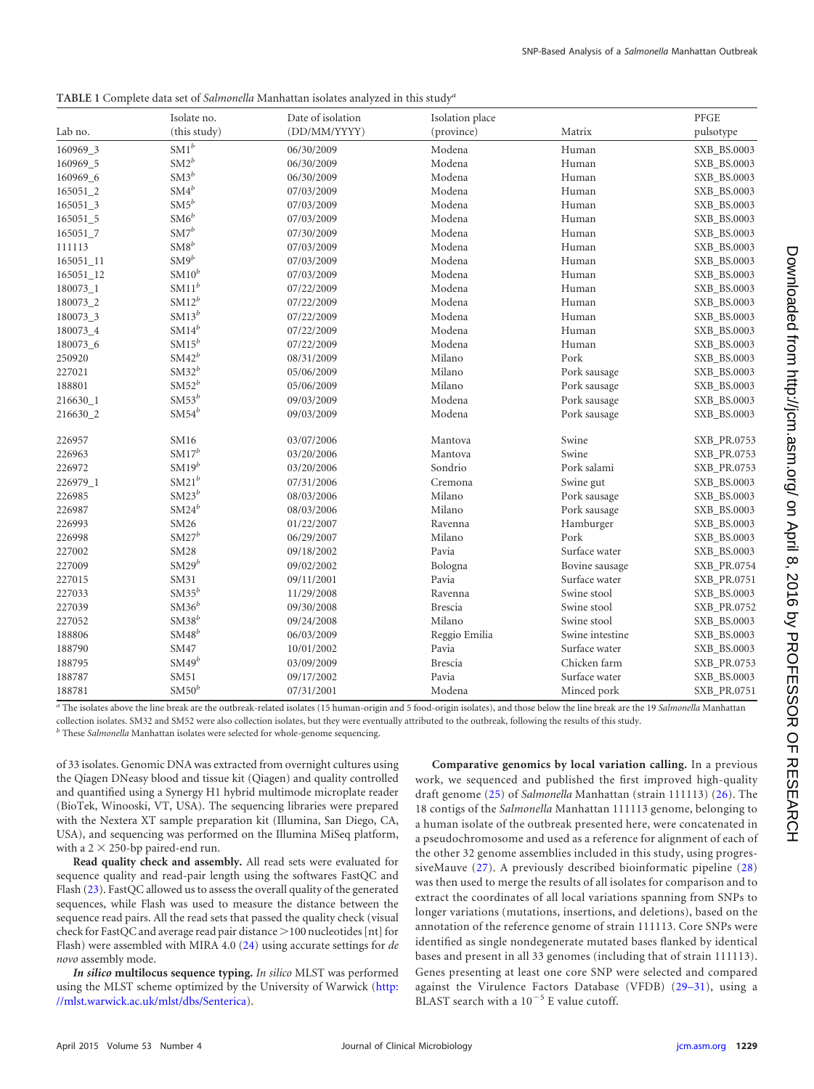<span id="page-2-0"></span>**TABLE 1** Complete data set of *Salmonella* Manhattan isolates analyzed in this study*<sup>a</sup>*

| Lab no.   | Isolate no.<br>(this study) | Date of isolation<br>(DD/MM/YYYY) | Isolation place<br>(province) | Matrix          | PFGE<br>pulsotype |
|-----------|-----------------------------|-----------------------------------|-------------------------------|-----------------|-------------------|
|           |                             |                                   |                               |                 |                   |
| 160969 5  | $\mathrm{SM2}^b$            | 06/30/2009                        | Modena                        | Human           | SXB_BS.0003       |
| 160969_6  | $SM3^b$                     | 06/30/2009                        | Modena                        | Human           | SXB_BS.0003       |
| 165051_2  | $\mathrm{SM4}^b$            | 07/03/2009                        | Modena                        | Human           | SXB_BS.0003       |
| 165051 3  | $\mathrm{SM5}^b$            | 07/03/2009                        | Modena                        | Human           | SXB_BS.0003       |
| 165051_5  | $SM6^b$                     | 07/03/2009                        | Modena                        | Human           | SXB_BS.0003       |
| 165051_7  | $SM7^b$                     | 07/30/2009                        | Modena                        | Human           | SXB_BS.0003       |
| 111113    | $\text{SM8}^b$              | 07/03/2009                        | Modena                        | Human           | SXB_BS.0003       |
| 165051_11 | $SM9^b$                     | 07/03/2009                        | Modena                        | Human           | SXB_BS.0003       |
| 165051_12 | $SM10^b$                    | 07/03/2009                        | Modena                        | Human           | SXB_BS.0003       |
| 180073_1  | $SM11^b$                    | 07/22/2009                        | Modena                        | Human           | SXB_BS.0003       |
| 180073_2  | $SM12^b$                    | 07/22/2009                        | Modena                        | Human           | SXB_BS.0003       |
| 180073_3  | $SM13^b$                    | 07/22/2009                        | Modena                        | Human           | SXB_BS.0003       |
| 180073_4  | $SM14^b$                    | 07/22/2009                        | Modena                        | Human           | SXB_BS.0003       |
| 180073_6  | $SM15^b$                    | 07/22/2009                        | Modena                        | Human           | SXB_BS.0003       |
| 250920    | $SM42^b$                    | 08/31/2009                        | Milano                        | Pork            | SXB_BS.0003       |
| 227021    | $SM32^b$                    | 05/06/2009                        | Milano                        | Pork sausage    | SXB_BS.0003       |
| 188801    | $SM52^b$                    | 05/06/2009                        | Milano                        | Pork sausage    | SXB_BS.0003       |
| 216630 1  | $SM53^b$                    | 09/03/2009                        | Modena                        | Pork sausage    | SXB_BS.0003       |
| 216630_2  | $SM54^b$                    | 09/03/2009                        | Modena                        | Pork sausage    | SXB_BS.0003       |
| 226957    | SM16                        | 03/07/2006                        | Mantova                       | Swine           | SXB_PR.0753       |
| 226963    | $\mathrm{SM17}^b$           | 03/20/2006                        | Mantova                       | Swine           | SXB_PR.0753       |
| 226972    | $SM19^b$                    | 03/20/2006                        | Sondrio                       | Pork salami     | SXB_PR.0753       |
| 226979_1  | $SM21^b$                    | 07/31/2006                        | Cremona                       | Swine gut       | SXB_BS.0003       |
| 226985    | $SM23^b$                    | 08/03/2006                        | Milano                        | Pork sausage    | SXB_BS.0003       |
| 226987    | $SM24^b$                    | 08/03/2006                        | Milano                        | Pork sausage    | SXB_BS.0003       |
| 226993    | SM26                        | 01/22/2007                        | Ravenna                       | Hamburger       | SXB_BS.0003       |
| 226998    | $SM27^b$                    | 06/29/2007                        | Milano                        | Pork            | SXB_BS.0003       |
| 227002    | <b>SM28</b>                 | 09/18/2002                        | Pavia                         | Surface water   | SXB_BS.0003       |
| 227009    | $SM29^b$                    | 09/02/2002                        | Bologna                       | Bovine sausage  | SXB_PR.0754       |
| 227015    | SM31                        | 09/11/2001                        | Pavia                         | Surface water   | SXB_PR.0751       |
| 227033    | $SM35^b$                    | 11/29/2008                        | Ravenna                       | Swine stool     | SXB_BS.0003       |
| 227039    | $SM36^b$                    | 09/30/2008                        | <b>Brescia</b>                | Swine stool     | SXB_PR.0752       |
| 227052    | $\text{SM38}^b$             | 09/24/2008                        | Milano                        | Swine stool     | SXB_BS.0003       |
| 188806    | $SM48^b$                    | 06/03/2009                        | Reggio Emilia                 | Swine intestine | SXB_BS.0003       |
| 188790    | SM47                        | 10/01/2002                        | Pavia                         | Surface water   | SXB_BS.0003       |
| 188795    | $SM49^b$                    | 03/09/2009                        | <b>Brescia</b>                | Chicken farm    | SXB_PR.0753       |
| 188787    | SM51                        | 09/17/2002                        | Pavia                         | Surface water   | SXB_BS.0003       |
| 188781    | $SM50^b$                    | 07/31/2001                        | Modena                        | Minced pork     | SXB_PR.0751       |

*<sup>a</sup>* The isolates above the line break are the outbreak-related isolates (15 human-origin and 5 food-origin isolates), and those below the line break are the 19 *Salmonella* Manhattan collection isolates. SM32 and SM52 were also collection isolates, but they were eventually attributed to the outbreak, following the results of this study.

*<sup>b</sup>* These *Salmonella* Manhattan isolates were selected for whole-genome sequencing.

of 33 isolates. Genomic DNA was extracted from overnight cultures using the Qiagen DNeasy blood and tissue kit (Qiagen) and quality controlled and quantified using a Synergy H1 hybrid multimode microplate reader (BioTek, Winooski, VT, USA). The sequencing libraries were prepared with the Nextera XT sample preparation kit (Illumina, San Diego, CA, USA), and sequencing was performed on the Illumina MiSeq platform, with a  $2 \times 250$ -bp paired-end run.

**Read quality check and assembly.** All read sets were evaluated for sequence quality and read-pair length using the softwares FastQC and Flash [\(23\)](#page-10-22). FastQC allowed us to assess the overall quality of the generated sequences, while Flash was used to measure the distance between the sequence read pairs. All the read sets that passed the quality check (visual check for FastQC and average read pair distance 100 nucleotides [nt] for Flash) were assembled with MIRA 4.0 [\(24\)](#page-10-23) using accurate settings for *de novo* assembly mode.

*In silico* **multilocus sequence typing.** *In silico* MLST was performed using the MLST scheme optimized by the University of Warwick [\(http:](http://mlst.warwick.ac.uk/mlst/dbs/Senterica) [//mlst.warwick.ac.uk/mlst/dbs/Senterica\)](http://mlst.warwick.ac.uk/mlst/dbs/Senterica).

**Comparative genomics by local variation calling.** In a previous work, we sequenced and published the first improved high-quality draft genome [\(25\)](#page-10-24) of *Salmonella* Manhattan (strain 111113) [\(26\)](#page-10-25). The 18 contigs of the *Salmonella* Manhattan 111113 genome, belonging to a human isolate of the outbreak presented here, were concatenated in a pseudochromosome and used as a reference for alignment of each of the other 32 genome assemblies included in this study, using progressiveMauve [\(27\)](#page-10-26). A previously described bioinformatic pipeline [\(28\)](#page-10-27) was then used to merge the results of all isolates for comparison and to extract the coordinates of all local variations spanning from SNPs to longer variations (mutations, insertions, and deletions), based on the annotation of the reference genome of strain 111113. Core SNPs were identified as single nondegenerate mutated bases flanked by identical bases and present in all 33 genomes (including that of strain 111113). Genes presenting at least one core SNP were selected and compared against the Virulence Factors Database (VFDB) [\(29](#page-11-0)[–](#page-11-1)[31\)](#page-11-2), using a BLAST search with a  $10^{-5}$  E value cutoff.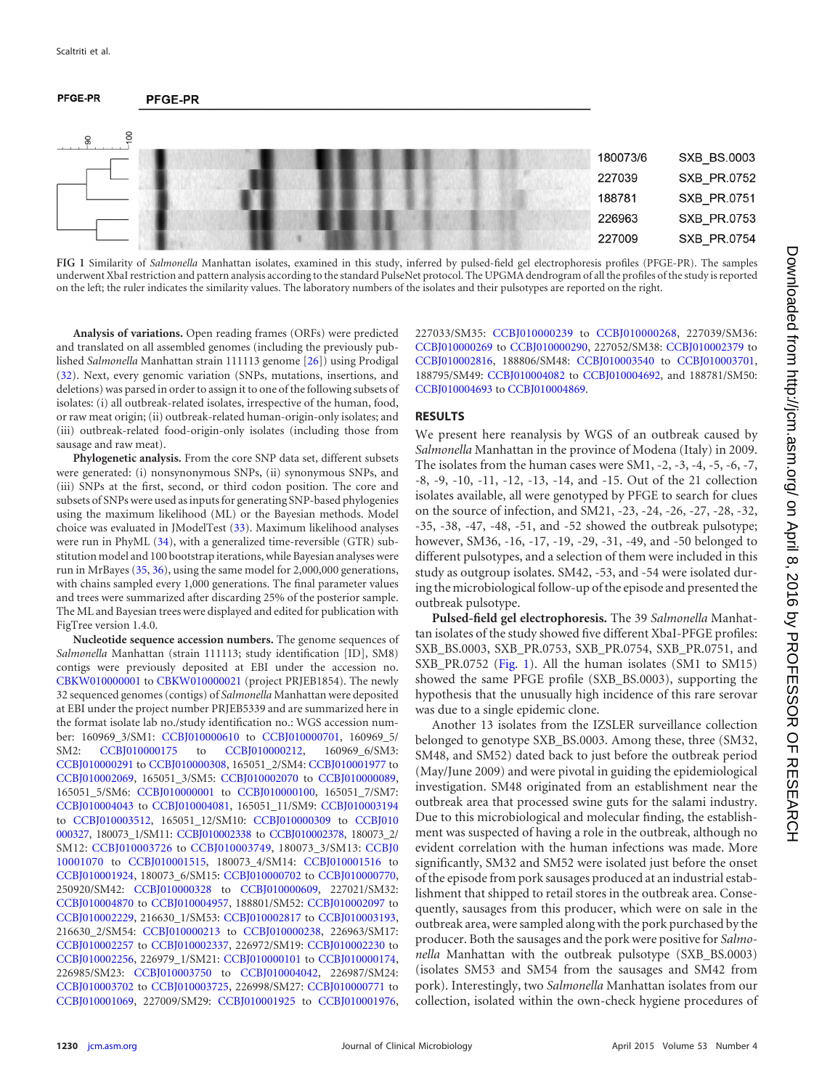#### PFGE-PR **PFGE-PR**



<span id="page-3-0"></span>**FIG 1** Similarity of *Salmonella* Manhattan isolates, examined in this study, inferred by pulsed-field gel electrophoresis profiles (PFGE-PR). The samples underwent XbaI restriction and pattern analysis according to the standard PulseNet protocol. The UPGMA dendrogram of all the profiles of the study is reported on the left; the ruler indicates the similarity values. The laboratory numbers of the isolates and their pulsotypes are reported on the right.

**Analysis of variations.** Open reading frames (ORFs) were predicted and translated on all assembled genomes (including the previously published *Salmonella* Manhattan strain 111113 genome [\[26\]](#page-10-25)) using Prodigal [\(32\)](#page-11-3). Next, every genomic variation (SNPs, mutations, insertions, and deletions)was parsed in order to assign it to one of the following subsets of isolates: (i) all outbreak-related isolates, irrespective of the human, food, or raw meat origin; (ii) outbreak-related human-origin-only isolates; and (iii) outbreak-related food-origin-only isolates (including those from sausage and raw meat).

**Phylogenetic analysis.** From the core SNP data set, different subsets were generated: (i) nonsynonymous SNPs, (ii) synonymous SNPs, and (iii) SNPs at the first, second, or third codon position. The core and subsets of SNPs were used as inputs for generating SNP-based phylogenies using the maximum likelihood (ML) or the Bayesian methods. Model choice was evaluated in JModelTest [\(33\)](#page-11-4). Maximum likelihood analyses were run in PhyML [\(34\)](#page-11-5), with a generalized time-reversible (GTR) substitution model and 100 bootstrap iterations, while Bayesian analyses were run in MrBayes [\(35,](#page-11-6) [36\)](#page-11-7), using the same model for 2,000,000 generations, with chains sampled every 1,000 generations. The final parameter values and trees were summarized after discarding 25% of the posterior sample. The ML and Bayesian trees were displayed and edited for publication with FigTree version 1.4.0.

**Nucleotide sequence accession numbers.** The genome sequences of *Salmonella* Manhattan (strain 111113; study identification [ID], SM8) contigs were previously deposited at EBI under the accession no. [CBKW010000001](http://www.ncbi.nlm.nih.gov/nuccore?term=CBKW010000001) to [CBKW010000021](http://www.ncbi.nlm.nih.gov/nuccore?term=CBKW010000021) (project PRJEB1854). The newly 32 sequenced genomes (contigs) of *Salmonella* Manhattan were deposited at EBI under the project number PRJEB5339 and are summarized here in the format isolate lab no./study identification no.: WGS accession number: 160969\_3/SM1: [CCBJ010000610](http://www.ncbi.nlm.nih.gov/nuccore?term=CCBJ010000610) to [CCBJ010000701,](http://www.ncbi.nlm.nih.gov/nuccore?term=CCBJ010000701) 160969\_5/ SM2: [CCBJ010000175](http://www.ncbi.nlm.nih.gov/nuccore?term=CCBJ010000175) to [CCBJ010000212,](http://www.ncbi.nlm.nih.gov/nuccore?term=CCBJ010000212) 160969 6/SM3: [CCBJ010000291](http://www.ncbi.nlm.nih.gov/nuccore?term=CCBJ010000291) to [CCBJ010000308,](http://www.ncbi.nlm.nih.gov/nuccore?term=CCBJ010000308) 165051\_2/SM4: [CCBJ010001977](http://www.ncbi.nlm.nih.gov/nuccore?term=CCBJ010001977) to [CCBJ010002069,](http://www.ncbi.nlm.nih.gov/nuccore?term=CCBJ010002069) 165051\_3/SM5: [CCBJ010002070](http://www.ncbi.nlm.nih.gov/nuccore?term=CCBJ010002070) to [CCBJ010000089,](http://www.ncbi.nlm.nih.gov/nuccore?term=CCBJ010000089) 165051\_5/SM6: [CCBJ010000001](http://www.ncbi.nlm.nih.gov/nuccore?term=CCBJ010000001) to [CCBJ010000100,](http://www.ncbi.nlm.nih.gov/nuccore?term=CCBJ010000100) 165051\_7/SM7: [CCBJ010004043](http://www.ncbi.nlm.nih.gov/nuccore?term=CCBJ010004043) to [CCBJ010004081,](http://www.ncbi.nlm.nih.gov/nuccore?term=CCBJ010004081) 165051\_11/SM9: [CCBJ010003194](http://www.ncbi.nlm.nih.gov/nuccore?term=CCBJ010003194) to [CCBJ010003512,](http://www.ncbi.nlm.nih.gov/nuccore?term=CCBJ010003512) 165051\_12/SM10: [CCBJ010000309](http://www.ncbi.nlm.nih.gov/nuccore?term=CCBJ010000309) to CCBJ010 000327, 180073\_1/SM11: [CCBJ010002338](http://www.ncbi.nlm.nih.gov/nuccore?term=CCBJ010002338) to [CCBJ010002378,](http://www.ncbi.nlm.nih.gov/nuccore?term=CCBJ010002378) 180073\_2/ SM12: [CCBJ010003726](http://www.ncbi.nlm.nih.gov/nuccore?term=CCBJ010003726) to [CCBJ010003749,](http://www.ncbi.nlm.nih.gov/nuccore?term=CCBJ010003749) 180073\_3/SM13: CCBJ0 10001070 to [CCBJ010001515,](http://www.ncbi.nlm.nih.gov/nuccore?term=CCBJ010001515) 180073\_4/SM14: [CCBJ010001516](http://www.ncbi.nlm.nih.gov/nuccore?term=CCBJ010001516) to [CCBJ010001924,](http://www.ncbi.nlm.nih.gov/nuccore?term=CCBJ010001924) 180073\_6/SM15: [CCBJ010000702](http://www.ncbi.nlm.nih.gov/nuccore?term=CCBJ010000702) to [CCBJ010000770,](http://www.ncbi.nlm.nih.gov/nuccore?term=CCBJ010000770) 250920/SM42: [CCBJ010000328](http://www.ncbi.nlm.nih.gov/nuccore?term=CCBJ010000328) to [CCBJ010000609,](http://www.ncbi.nlm.nih.gov/nuccore?term=CCBJ010000609) 227021/SM32: [CCBJ010004870](http://www.ncbi.nlm.nih.gov/nuccore?term=CCBJ010004870) to [CCBJ010004957,](http://www.ncbi.nlm.nih.gov/nuccore?term=CCBJ010004957) 188801/SM52: [CCBJ010002097](http://www.ncbi.nlm.nih.gov/nuccore?term=CCBJ010002097) to [CCBJ010002229,](http://www.ncbi.nlm.nih.gov/nuccore?term=CCBJ010002229) 216630\_1/SM53: [CCBJ010002817](http://www.ncbi.nlm.nih.gov/nuccore?term=CCBJ010002817) to [CCBJ010003193,](http://www.ncbi.nlm.nih.gov/nuccore?term=CCBJ010003193) 216630\_2/SM54: [CCBJ010000213](http://www.ncbi.nlm.nih.gov/nuccore?term=CCBJ010000213) to [CCBJ010000238,](http://www.ncbi.nlm.nih.gov/nuccore?term=CCBJ010000238) 226963/SM17: [CCBJ010002257](http://www.ncbi.nlm.nih.gov/nuccore?term=CCBJ010002257) to [CCBJ010002337,](http://www.ncbi.nlm.nih.gov/nuccore?term=CCBJ010002337) 226972/SM19: [CCBJ010002230](http://www.ncbi.nlm.nih.gov/nuccore?term=CCBJ010002230) to [CCBJ010002256,](http://www.ncbi.nlm.nih.gov/nuccore?term=CCBJ010002256) 226979\_1/SM21: [CCBJ010000101](http://www.ncbi.nlm.nih.gov/nuccore?term=CCBJ010000101) to [CCBJ010000174,](http://www.ncbi.nlm.nih.gov/nuccore?term=CCBJ010000174) 226985/SM23: [CCBJ010003750](http://www.ncbi.nlm.nih.gov/nuccore?term=CCBJ010003750) to [CCBJ010004042,](http://www.ncbi.nlm.nih.gov/nuccore?term=CCBJ010004042) 226987/SM24: [CCBJ010003702](http://www.ncbi.nlm.nih.gov/nuccore?term=CCBJ010003702) to [CCBJ010003725,](http://www.ncbi.nlm.nih.gov/nuccore?term=CCBJ010003725) 226998/SM27: [CCBJ010000771](http://www.ncbi.nlm.nih.gov/nuccore?term=CCBJ010000771) to [CCBJ010001069,](http://www.ncbi.nlm.nih.gov/nuccore?term=CCBJ010001069) 227009/SM29: [CCBJ010001925](http://www.ncbi.nlm.nih.gov/nuccore?term=CCBJ010001925) to [CCBJ010001976,](http://www.ncbi.nlm.nih.gov/nuccore?term=CCBJ010001976)

227033/SM35: [CCBJ010000239](http://www.ncbi.nlm.nih.gov/nuccore?term=CCBJ010000239) to [CCBJ010000268,](http://www.ncbi.nlm.nih.gov/nuccore?term=CCBJ010000268) 227039/SM36: [CCBJ010000269](http://www.ncbi.nlm.nih.gov/nuccore?term=CCBJ010000269) to [CCBJ010000290,](http://www.ncbi.nlm.nih.gov/nuccore?term=CCBJ010000290) 227052/SM38: [CCBJ010002379](http://www.ncbi.nlm.nih.gov/nuccore?term=CCBJ010002379) to [CCBJ010002816,](http://www.ncbi.nlm.nih.gov/nuccore?term=CCBJ010002816) 188806/SM48: [CCBJ010003540](http://www.ncbi.nlm.nih.gov/nuccore?term=CCBJ010003540) to [CCBJ010003701,](http://www.ncbi.nlm.nih.gov/nuccore?term=CCBJ010003701) 188795/SM49: [CCBJ010004082](http://www.ncbi.nlm.nih.gov/nuccore?term=CCBJ010004082) to [CCBJ010004692,](http://www.ncbi.nlm.nih.gov/nuccore?term=CCBJ010004692) and 188781/SM50: [CCBJ010004693](http://www.ncbi.nlm.nih.gov/nuccore?term=CCBJ010004693) to [CCBJ010004869.](http://www.ncbi.nlm.nih.gov/nuccore?term=CCBJ010004869)

### **RESULTS**

We present here reanalysis by WGS of an outbreak caused by *Salmonella* Manhattan in the province of Modena (Italy) in 2009. The isolates from the human cases were SM1, -2, -3, -4, -5, -6, -7, -8, -9, -10, -11, -12, -13, -14, and -15. Out of the 21 collection isolates available, all were genotyped by PFGE to search for clues on the source of infection, and SM21, -23, -24, -26, -27, -28, -32, -35, -38, -47, -48, -51, and -52 showed the outbreak pulsotype; however, SM36, -16, -17, -19, -29, -31, -49, and -50 belonged to different pulsotypes, and a selection of them were included in this study as outgroup isolates. SM42, -53, and -54 were isolated during the microbiological follow-up of the episode and presented the outbreak pulsotype.

**Pulsed-field gel electrophoresis.** The 39 *Salmonella* Manhattan isolates of the study showed five different XbaI-PFGE profiles: SXB\_BS.0003, SXB\_PR.0753, SXB\_PR.0754, SXB\_PR.0751, and SXB\_PR.0752 [\(Fig. 1\)](#page-3-0). All the human isolates (SM1 to SM15) showed the same PFGE profile (SXB\_BS.0003), supporting the hypothesis that the unusually high incidence of this rare serovar was due to a single epidemic clone.

Another 13 isolates from the IZSLER surveillance collection belonged to genotype SXB\_BS.0003. Among these, three (SM32, SM48, and SM52) dated back to just before the outbreak period (May/June 2009) and were pivotal in guiding the epidemiological investigation. SM48 originated from an establishment near the outbreak area that processed swine guts for the salami industry. Due to this microbiological and molecular finding, the establishment was suspected of having a role in the outbreak, although no evident correlation with the human infections was made. More significantly, SM32 and SM52 were isolated just before the onset of the episode from pork sausages produced at an industrial establishment that shipped to retail stores in the outbreak area. Consequently, sausages from this producer, which were on sale in the outbreak area, were sampled along with the pork purchased by the producer. Both the sausages and the pork were positive for *Salmonella* Manhattan with the outbreak pulsotype (SXB\_BS.0003) (isolates SM53 and SM54 from the sausages and SM42 from pork). Interestingly, two *Salmonella* Manhattan isolates from our collection, isolated within the own-check hygiene procedures of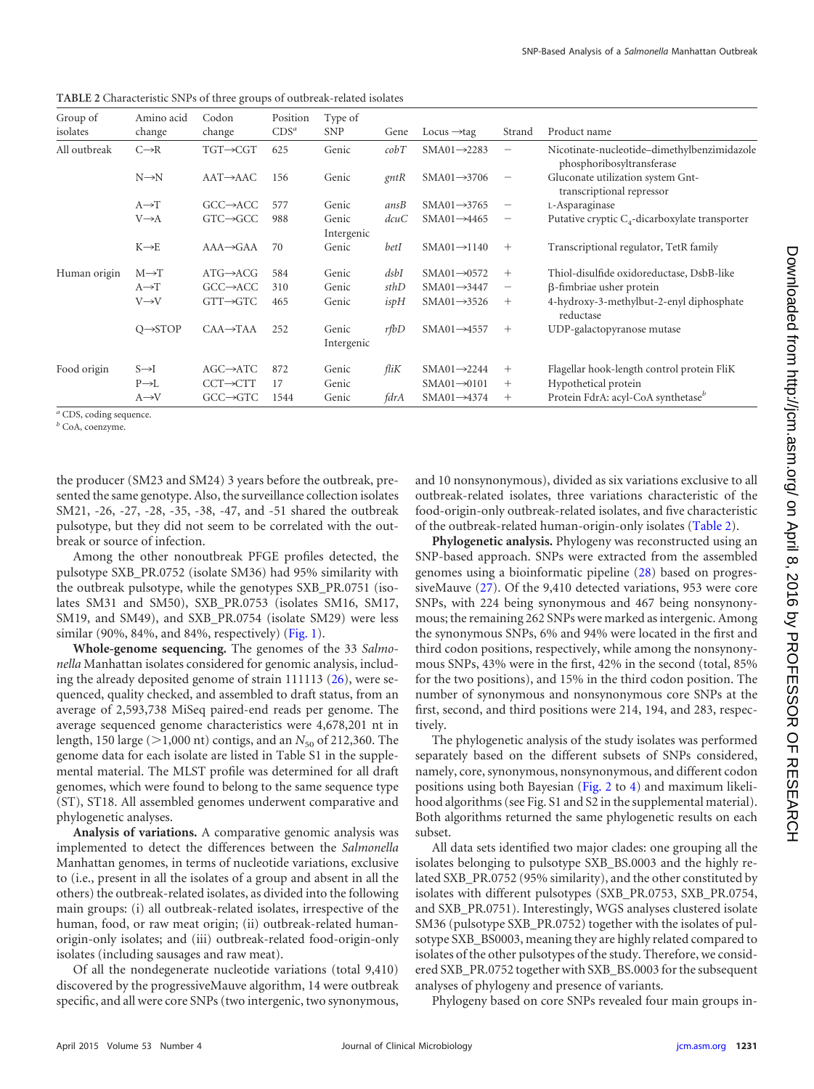Group of isolates Amino acid change Codon change Position CDS*<sup>a</sup>* Type of  $SNP$  Gene Locus  $\rightarrow$ tag Strand Product name All outbreak  $C \rightarrow R$  TGT $\rightarrow CGT$  625 Genic *cobT* SMA01 $\rightarrow$ 2283 Nicotinate-nucleotide–dimethylbenzimidazole phosphoribosyltransferase N→N AAT→AAC 156 Genic *gntR* SMA01→3706 Gluconate utilization system Gnttranscriptional repressor  $A \rightarrow T$  GCC $\rightarrow$ ACC 577 Genic *ansB* SMA01 $\rightarrow$ 3765 L-Asparaginase V→A GTC→GCC 988 Genic dcuC SMA01→4465 Putative cryptic  $C_4$ -dicarboxylate transporter Intergenic  $K \rightarrow E$  AAA $\rightarrow$ GAA 70 Genic *betI* SMA01 $\rightarrow$ 1140 + Transcriptional regulator, TetR family Human origin M→T ATG→ACG 584 Genic *dsbI* SMA01→0572 + Thiol-disulfide oxidoreductase, DsbB-like A→T GCC→ACC 310 Genic *sthD* SMA01→3447 -fimbriae usher protein V→V GTT→GTC 465 Genic *ispH* SMA01→3526 + 4-hydroxy-3-methylbut-2-enyl diphosphate reductase Q
ightarrow CAA
ightarrow CAA
ightarrow General Contract Contract Contract COP-galactopyranose mutase General Contract Contract Contract Contract Contract Contract Contract Contract Contract Contract Contract Contract Cont Intergenic Food origin S→I AGC→ATC 872 Genic *fliK* SMA01→2244 + Flagellar hook-length control protein FliK P→L CCT→CTT 17 Genic SMA01→0101 + Hypothetical protein<br>A→V GCC→GTC 1544 Genic *fdrA* SMA01→4374 + Protein FdrA: acyl-Ce A→V GCC→GTC 1544 Genic *fdrA* SMA01→4374 + Protein FdrA: acyl-CoA synthetase<sup>b</sup>

<span id="page-4-0"></span>**TABLE 2** Characteristic SNPs of three groups of outbreak-related isolates

*<sup>a</sup>* CDS, coding sequence.

*<sup>b</sup>* CoA, coenzyme.

the producer (SM23 and SM24) 3 years before the outbreak, presented the same genotype. Also, the surveillance collection isolates SM21, -26, -27, -28, -35, -38, -47, and -51 shared the outbreak pulsotype, but they did not seem to be correlated with the outbreak or source of infection.

Among the other nonoutbreak PFGE profiles detected, the pulsotype SXB\_PR.0752 (isolate SM36) had 95% similarity with the outbreak pulsotype, while the genotypes SXB\_PR.0751 (isolates SM31 and SM50), SXB\_PR.0753 (isolates SM16, SM17, SM19, and SM49), and SXB\_PR.0754 (isolate SM29) were less similar (90%, 84%, and 84%, respectively) [\(Fig. 1\)](#page-3-0).

**Whole-genome sequencing.** The genomes of the 33 *Salmonella* Manhattan isolates considered for genomic analysis, including the already deposited genome of strain 111113 [\(26\)](#page-10-25), were sequenced, quality checked, and assembled to draft status, from an average of 2,593,738 MiSeq paired-end reads per genome. The average sequenced genome characteristics were 4,678,201 nt in length, 150 large (>1,000 nt) contigs, and an *N*<sub>50</sub> of 212,360. The genome data for each isolate are listed in Table S1 in the supplemental material. The MLST profile was determined for all draft genomes, which were found to belong to the same sequence type (ST), ST18. All assembled genomes underwent comparative and phylogenetic analyses.

**Analysis of variations.** A comparative genomic analysis was implemented to detect the differences between the *Salmonella* Manhattan genomes, in terms of nucleotide variations, exclusive to (i.e., present in all the isolates of a group and absent in all the others) the outbreak-related isolates, as divided into the following main groups: (i) all outbreak-related isolates, irrespective of the human, food, or raw meat origin; (ii) outbreak-related humanorigin-only isolates; and (iii) outbreak-related food-origin-only isolates (including sausages and raw meat).

Of all the nondegenerate nucleotide variations (total 9,410) discovered by the progressiveMauve algorithm, 14 were outbreak specific, and all were core SNPs (two intergenic, two synonymous, and 10 nonsynonymous), divided as six variations exclusive to all outbreak-related isolates, three variations characteristic of the food-origin-only outbreak-related isolates, and five characteristic of the outbreak-related human-origin-only isolates [\(Table 2\)](#page-4-0).

**Phylogenetic analysis.** Phylogeny was reconstructed using an SNP-based approach. SNPs were extracted from the assembled genomes using a bioinformatic pipeline [\(28\)](#page-10-27) based on progressiveMauve [\(27\)](#page-10-26). Of the 9,410 detected variations, 953 were core SNPs, with 224 being synonymous and 467 being nonsynonymous; the remaining 262 SNPs were marked as intergenic. Among the synonymous SNPs, 6% and 94% were located in the first and third codon positions, respectively, while among the nonsynonymous SNPs, 43% were in the first, 42% in the second (total, 85% for the two positions), and 15% in the third codon position. The number of synonymous and nonsynonymous core SNPs at the first, second, and third positions were 214, 194, and 283, respectively.

The phylogenetic analysis of the study isolates was performed separately based on the different subsets of SNPs considered, namely, core, synonymous, nonsynonymous, and different codon positions using both Bayesian [\(Fig. 2](#page-5-0) to [4\)](#page-7-0) and maximum likelihood algorithms (see Fig. S1 and S2 in the supplemental material). Both algorithms returned the same phylogenetic results on each subset.

All data sets identified two major clades: one grouping all the isolates belonging to pulsotype SXB\_BS.0003 and the highly related SXB\_PR.0752 (95% similarity), and the other constituted by isolates with different pulsotypes (SXB\_PR.0753, SXB\_PR.0754, and SXB\_PR.0751). Interestingly, WGS analyses clustered isolate SM36 (pulsotype SXB\_PR.0752) together with the isolates of pulsotype SXB\_BS0003, meaning they are highly related compared to isolates of the other pulsotypes of the study. Therefore, we considered SXB\_PR.0752 together with SXB\_BS.0003 for the subsequent analyses of phylogeny and presence of variants.

Phylogeny based on core SNPs revealed four main groups in-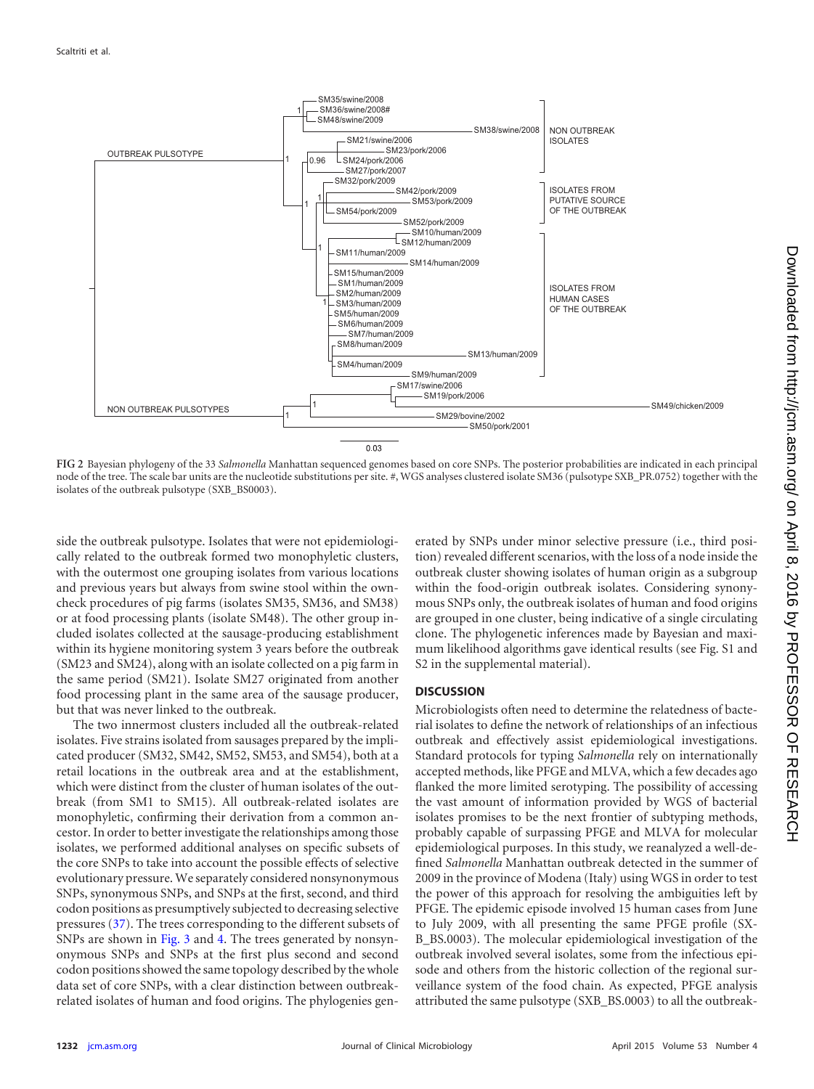

<span id="page-5-0"></span>**FIG 2** Bayesian phylogeny of the 33 *Salmonella* Manhattan sequenced genomes based on core SNPs. The posterior probabilities are indicated in each principal node of the tree. The scale bar units are the nucleotide substitutions per site. #, WGS analyses clustered isolate SM36 (pulsotype SXB\_PR.0752) together with the isolates of the outbreak pulsotype (SXB\_BS0003).

side the outbreak pulsotype. Isolates that were not epidemiologically related to the outbreak formed two monophyletic clusters, with the outermost one grouping isolates from various locations and previous years but always from swine stool within the owncheck procedures of pig farms (isolates SM35, SM36, and SM38) or at food processing plants (isolate SM48). The other group included isolates collected at the sausage-producing establishment within its hygiene monitoring system 3 years before the outbreak (SM23 and SM24), along with an isolate collected on a pig farm in the same period (SM21). Isolate SM27 originated from another food processing plant in the same area of the sausage producer, but that was never linked to the outbreak.

The two innermost clusters included all the outbreak-related isolates. Five strains isolated from sausages prepared by the implicated producer (SM32, SM42, SM52, SM53, and SM54), both at a retail locations in the outbreak area and at the establishment, which were distinct from the cluster of human isolates of the outbreak (from SM1 to SM15). All outbreak-related isolates are monophyletic, confirming their derivation from a common ancestor. In order to better investigate the relationships among those isolates, we performed additional analyses on specific subsets of the core SNPs to take into account the possible effects of selective evolutionary pressure. We separately considered nonsynonymous SNPs, synonymous SNPs, and SNPs at the first, second, and third codon positions as presumptively subjected to decreasing selective pressures [\(37\)](#page-11-8). The trees corresponding to the different subsets of SNPs are shown in [Fig. 3](#page-6-0) and [4.](#page-7-0) The trees generated by nonsynonymous SNPs and SNPs at the first plus second and second codon positions showed the same topology described by the whole data set of core SNPs, with a clear distinction between outbreakrelated isolates of human and food origins. The phylogenies generated by SNPs under minor selective pressure (i.e., third position) revealed different scenarios, with the loss of a node inside the outbreak cluster showing isolates of human origin as a subgroup within the food-origin outbreak isolates. Considering synonymous SNPs only, the outbreak isolates of human and food origins are grouped in one cluster, being indicative of a single circulating clone. The phylogenetic inferences made by Bayesian and maximum likelihood algorithms gave identical results (see Fig. S1 and S2 in the supplemental material).

# **DISCUSSION**

Microbiologists often need to determine the relatedness of bacterial isolates to define the network of relationships of an infectious outbreak and effectively assist epidemiological investigations. Standard protocols for typing *Salmonella* rely on internationally accepted methods, like PFGE and MLVA, which a few decades ago flanked the more limited serotyping. The possibility of accessing the vast amount of information provided by WGS of bacterial isolates promises to be the next frontier of subtyping methods, probably capable of surpassing PFGE and MLVA for molecular epidemiological purposes. In this study, we reanalyzed a well-defined *Salmonella* Manhattan outbreak detected in the summer of 2009 in the province of Modena (Italy) using WGS in order to test the power of this approach for resolving the ambiguities left by PFGE. The epidemic episode involved 15 human cases from June to July 2009, with all presenting the same PFGE profile (SX-B\_BS.0003). The molecular epidemiological investigation of the outbreak involved several isolates, some from the infectious episode and others from the historic collection of the regional surveillance system of the food chain. As expected, PFGE analysis attributed the same pulsotype (SXB\_BS.0003) to all the outbreak-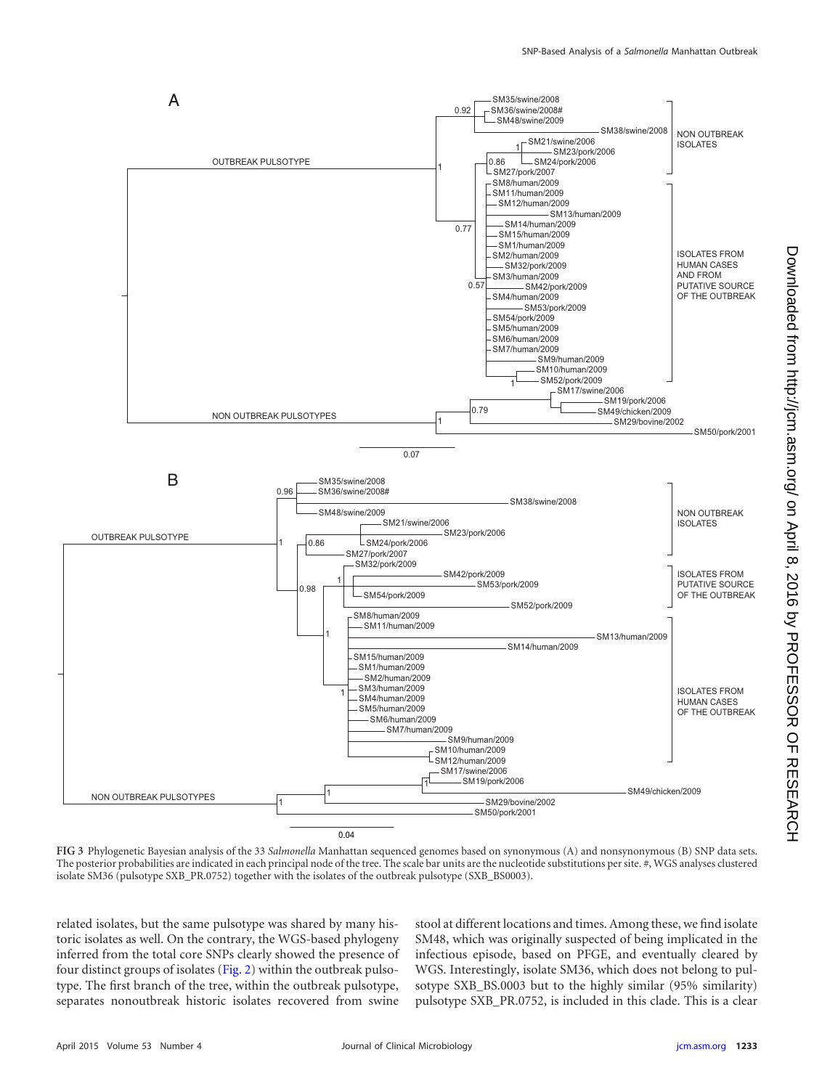

<span id="page-6-0"></span>**FIG 3** Phylogenetic Bayesian analysis of the 33 *Salmonella* Manhattan sequenced genomes based on synonymous (A) and nonsynonymous (B) SNP data sets. The posterior probabilities are indicated in each principal node of the tree. The scale bar units are the nucleotide substitutions per site. #, WGS analyses clustered isolate SM36 (pulsotype SXB\_PR.0752) together with the isolates of the outbreak pulsotype (SXB\_BS0003).

related isolates, but the same pulsotype was shared by many historic isolates as well. On the contrary, the WGS-based phylogeny inferred from the total core SNPs clearly showed the presence of four distinct groups of isolates [\(Fig. 2\)](#page-5-0) within the outbreak pulsotype. The first branch of the tree, within the outbreak pulsotype, separates nonoutbreak historic isolates recovered from swine

stool at different locations and times. Among these, we find isolate SM48, which was originally suspected of being implicated in the infectious episode, based on PFGE, and eventually cleared by WGS. Interestingly, isolate SM36, which does not belong to pulsotype SXB\_BS.0003 but to the highly similar (95% similarity) pulsotype SXB\_PR.0752, is included in this clade. This is a clear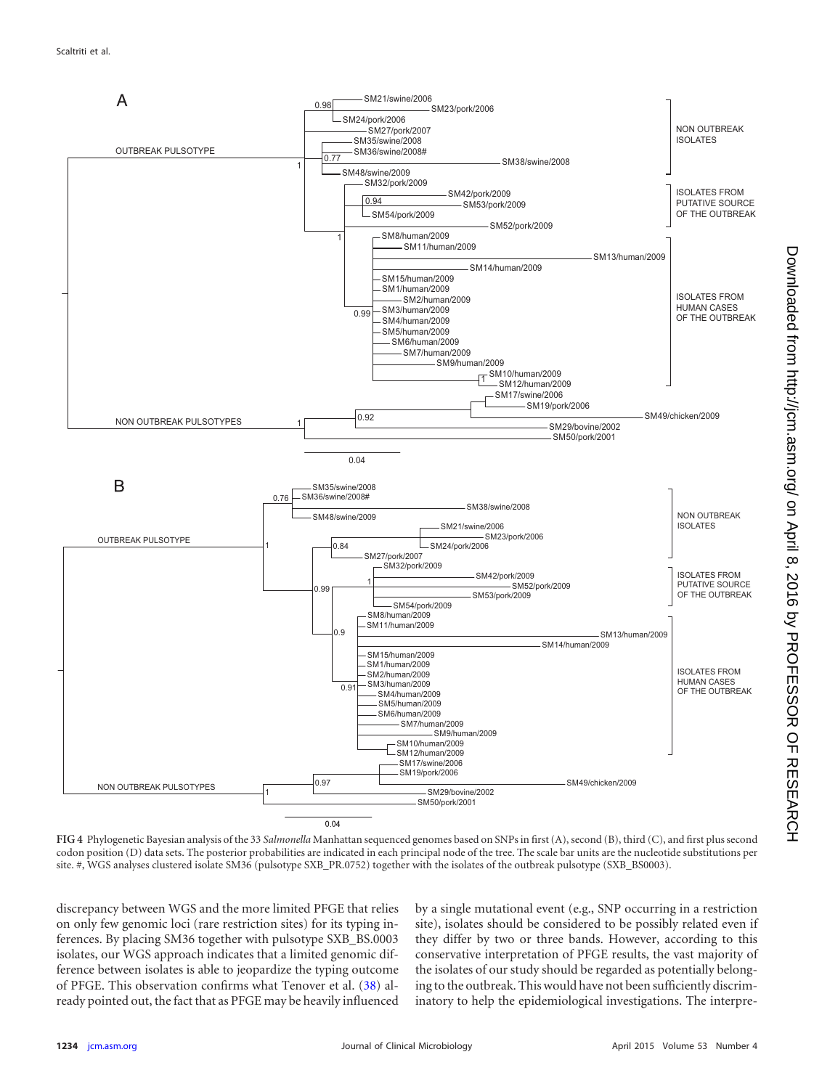

<span id="page-7-0"></span>**FIG 4** Phylogenetic Bayesian analysis of the 33 *Salmonella* Manhattan sequenced genomes based on SNPs in first (A), second (B), third (C), and first plus second codon position (D) data sets. The posterior probabilities are indicated in each principal node of the tree. The scale bar units are the nucleotide substitutions per site. #, WGS analyses clustered isolate SM36 (pulsotype SXB\_PR.0752) together with the isolates of the outbreak pulsotype (SXB\_BS0003).

discrepancy between WGS and the more limited PFGE that relies on only few genomic loci (rare restriction sites) for its typing inferences. By placing SM36 together with pulsotype SXB\_BS.0003 isolates, our WGS approach indicates that a limited genomic difference between isolates is able to jeopardize the typing outcome of PFGE. This observation confirms what Tenover et al. [\(38\)](#page-11-9) already pointed out, the fact that as PFGE may be heavily influenced

by a single mutational event (e.g., SNP occurring in a restriction site), isolates should be considered to be possibly related even if they differ by two or three bands. However, according to this conservative interpretation of PFGE results, the vast majority of the isolates of our study should be regarded as potentially belonging to the outbreak. This would have not been sufficiently discriminatory to help the epidemiological investigations. The interpre-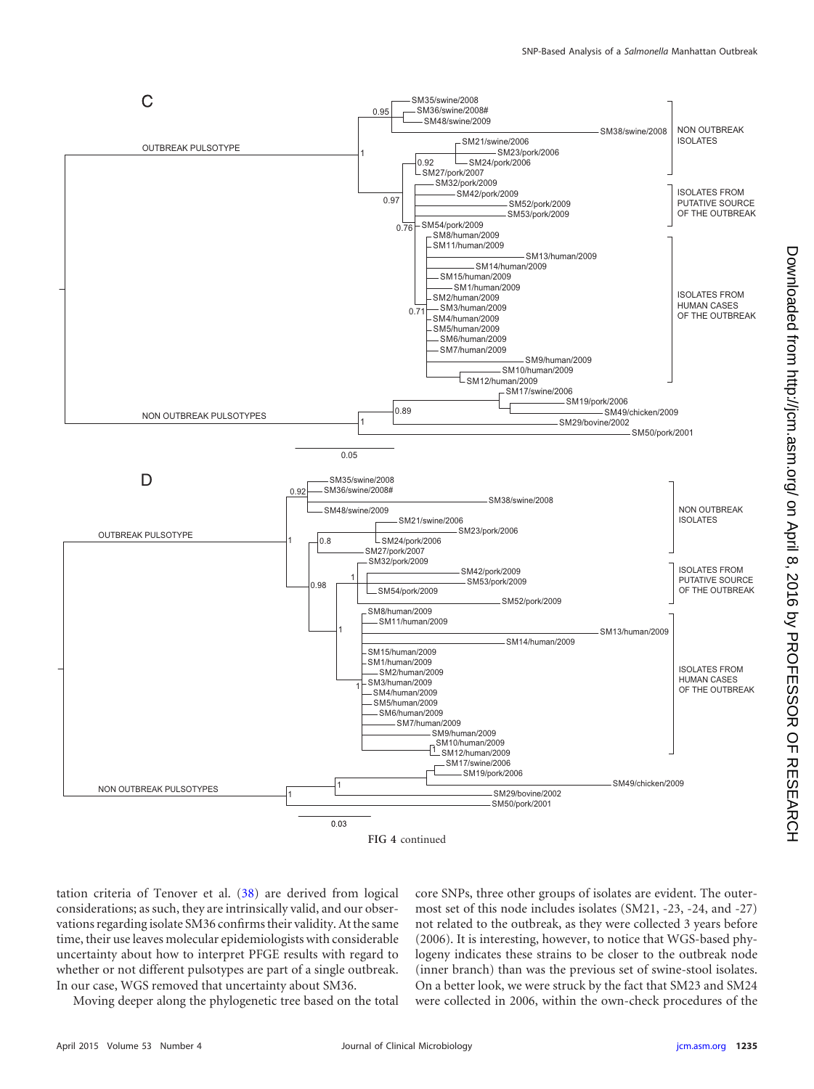

core SNPs, three other groups of isolates are evident. The outer-

whether or not different pulsotypes are part of a single outbreak. In our case, WGS removed that uncertainty about SM36. Moving deeper along the phylogenetic tree based on the total

tation criteria of Tenover et al. [\(38\)](#page-11-9) are derived from logical considerations; as such, they are intrinsically valid, and our observations regarding isolate SM36 confirms their validity. At the same time, their use leaves molecular epidemiologists with considerable uncertainty about how to interpret PFGE results with regard to

most set of this node includes isolates (SM21, -23, -24, and -27) not related to the outbreak, as they were collected 3 years before (2006). It is interesting, however, to notice that WGS-based phylogeny indicates these strains to be closer to the outbreak node (inner branch) than was the previous set of swine-stool isolates. On a better look, we were struck by the fact that SM23 and SM24 were collected in 2006, within the own-check procedures of the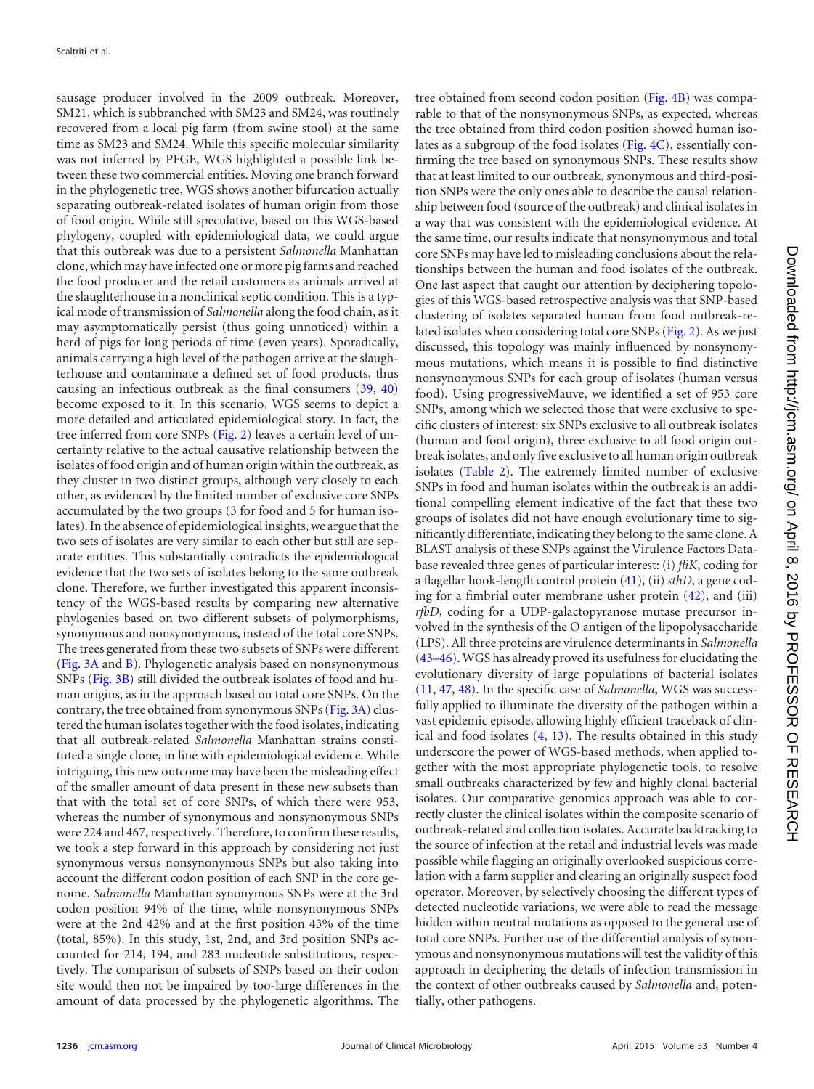sausage producer involved in the 2009 outbreak. Moreover, SM21, which is subbranched with SM23 and SM24, was routinely recovered from a local pig farm (from swine stool) at the same time as SM23 and SM24. While this specific molecular similarity was not inferred by PFGE, WGS highlighted a possible link between these two commercial entities. Moving one branch forward in the phylogenetic tree, WGS shows another bifurcation actually separating outbreak-related isolates of human origin from those of food origin. While still speculative, based on this WGS-based phylogeny, coupled with epidemiological data, we could argue that this outbreak was due to a persistent *Salmonella* Manhattan clone, which may have infected one or more pig farms and reached the food producer and the retail customers as animals arrived at the slaughterhouse in a nonclinical septic condition. This is a typical mode of transmission of *Salmonella* along the food chain, as it may asymptomatically persist (thus going unnoticed) within a herd of pigs for long periods of time (even years). Sporadically, animals carrying a high level of the pathogen arrive at the slaughterhouse and contaminate a defined set of food products, thus causing an infectious outbreak as the final consumers [\(39,](#page-11-10) [40\)](#page-11-11) become exposed to it. In this scenario, WGS seems to depict a more detailed and articulated epidemiological story. In fact, the tree inferred from core SNPs [\(Fig. 2\)](#page-5-0) leaves a certain level of uncertainty relative to the actual causative relationship between the isolates of food origin and of human origin within the outbreak, as they cluster in two distinct groups, although very closely to each other, as evidenced by the limited number of exclusive core SNPs accumulated by the two groups (3 for food and 5 for human isolates). In the absence of epidemiological insights, we argue that the two sets of isolates are very similar to each other but still are separate entities. This substantially contradicts the epidemiological evidence that the two sets of isolates belong to the same outbreak clone. Therefore, we further investigated this apparent inconsistency of the WGS-based results by comparing new alternative phylogenies based on two different subsets of polymorphisms, synonymous and nonsynonymous, instead of the total core SNPs. The trees generated from these two subsets of SNPs were different [\(Fig. 3A](#page-6-0) and [B\)](#page-6-0). Phylogenetic analysis based on nonsynonymous SNPs [\(Fig. 3B\)](#page-6-0) still divided the outbreak isolates of food and human origins, as in the approach based on total core SNPs. On the contrary, the tree obtained from synonymous SNPs [\(Fig. 3A\)](#page-6-0) clustered the human isolates together with the food isolates, indicating that all outbreak-related *Salmonella* Manhattan strains constituted a single clone, in line with epidemiological evidence. While intriguing, this new outcome may have been the misleading effect of the smaller amount of data present in these new subsets than that with the total set of core SNPs, of which there were 953, whereas the number of synonymous and nonsynonymous SNPs were 224 and 467, respectively. Therefore, to confirm these results, we took a step forward in this approach by considering not just synonymous versus nonsynonymous SNPs but also taking into account the different codon position of each SNP in the core genome. *Salmonella* Manhattan synonymous SNPs were at the 3rd codon position 94% of the time, while nonsynonymous SNPs were at the 2nd 42% and at the first position 43% of the time (total, 85%). In this study, 1st, 2nd, and 3rd position SNPs accounted for 214, 194, and 283 nucleotide substitutions, respectively. The comparison of subsets of SNPs based on their codon site would then not be impaired by too-large differences in the amount of data processed by the phylogenetic algorithms. The

tree obtained from second codon position [\(Fig. 4B\)](#page-7-0) was comparable to that of the nonsynonymous SNPs, as expected, whereas the tree obtained from third codon position showed human isolates as a subgroup of the food isolates [\(Fig. 4C\)](#page-7-0), essentially confirming the tree based on synonymous SNPs. These results show that at least limited to our outbreak, synonymous and third-position SNPs were the only ones able to describe the causal relationship between food (source of the outbreak) and clinical isolates in a way that was consistent with the epidemiological evidence. At the same time, our results indicate that nonsynonymous and total core SNPs may have led to misleading conclusions about the relationships between the human and food isolates of the outbreak. One last aspect that caught our attention by deciphering topologies of this WGS-based retrospective analysis was that SNP-based clustering of isolates separated human from food outbreak-re-lated isolates when considering total core SNPs [\(Fig. 2\)](#page-5-0). As we just discussed, this topology was mainly influenced by nonsynonymous mutations, which means it is possible to find distinctive nonsynonymous SNPs for each group of isolates (human versus food). Using progressiveMauve, we identified a set of 953 core SNPs, among which we selected those that were exclusive to specific clusters of interest: six SNPs exclusive to all outbreak isolates (human and food origin), three exclusive to all food origin outbreak isolates, and only five exclusive to all human origin outbreak isolates [\(Table 2\)](#page-4-0). The extremely limited number of exclusive SNPs in food and human isolates within the outbreak is an additional compelling element indicative of the fact that these two groups of isolates did not have enough evolutionary time to significantly differentiate, indicating they belong to the same clone. A BLAST analysis of these SNPs against the Virulence Factors Database revealed three genes of particular interest: (i) *fliK*, coding for a flagellar hook-length control protein [\(41\)](#page-11-12), (ii) *sthD*, a gene coding for a fimbrial outer membrane usher protein [\(42\)](#page-11-13), and (iii) *rfbD*, coding for a UDP-galactopyranose mutase precursor involved in the synthesis of the O antigen of the lipopolysaccharide (LPS). All three proteins are virulence determinants in *Salmonella* [\(43](#page-11-14)[–](#page-11-15)[46\)](#page-11-16). WGS has already proved its usefulness for elucidating the evolutionary diversity of large populations of bacterial isolates [\(11,](#page-10-10) [47,](#page-11-17) [48\)](#page-11-18). In the specific case of *Salmonella*, WGS was successfully applied to illuminate the diversity of the pathogen within a vast epidemic episode, allowing highly efficient traceback of clinical and food isolates [\(4,](#page-10-3) [13\)](#page-10-12). The results obtained in this study underscore the power of WGS-based methods, when applied together with the most appropriate phylogenetic tools, to resolve small outbreaks characterized by few and highly clonal bacterial isolates. Our comparative genomics approach was able to correctly cluster the clinical isolates within the composite scenario of outbreak-related and collection isolates. Accurate backtracking to the source of infection at the retail and industrial levels was made possible while flagging an originally overlooked suspicious correlation with a farm supplier and clearing an originally suspect food operator. Moreover, by selectively choosing the different types of detected nucleotide variations, we were able to read the message hidden within neutral mutations as opposed to the general use of total core SNPs. Further use of the differential analysis of synonymous and nonsynonymous mutations will test the validity of this approach in deciphering the details of infection transmission in the context of other outbreaks caused by *Salmonella* and, potentially, other pathogens.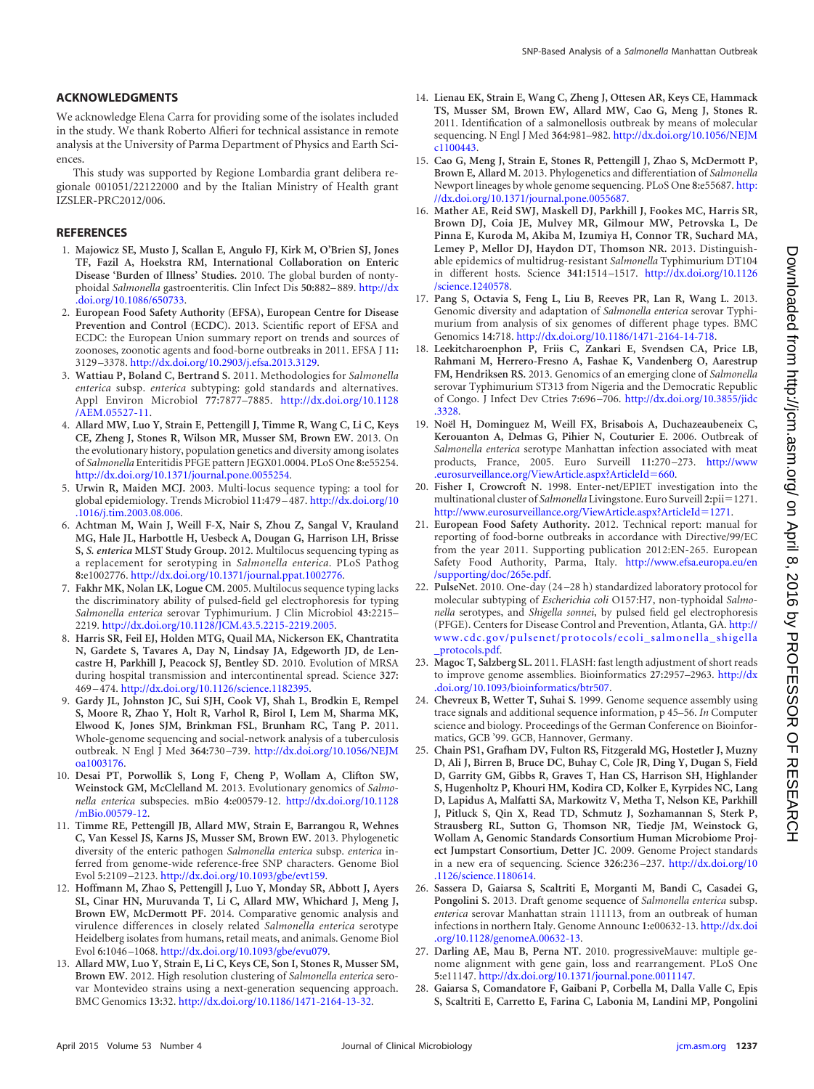### **ACKNOWLEDGMENTS**

We acknowledge Elena Carra for providing some of the isolates included in the study. We thank Roberto Alfieri for technical assistance in remote analysis at the University of Parma Department of Physics and Earth Sciences.

This study was supported by Regione Lombardia grant delibera regionale 001051/22122000 and by the Italian Ministry of Health grant IZSLER-PRC2012/006.

### <span id="page-10-0"></span>**REFERENCES**

- 1. **Majowicz SE, Musto J, Scallan E, Angulo FJ, Kirk M, O'Brien SJ, Jones TF, Fazil A, Hoekstra RM, International Collaboration on Enteric Disease 'Burden of Illness' Studies.** 2010. The global burden of nontyphoidal *Salmonella* gastroenteritis. Clin Infect Dis **50:**882–889. [http://dx](http://dx.doi.org/10.1086/650733) [.doi.org/10.1086/650733.](http://dx.doi.org/10.1086/650733)
- <span id="page-10-1"></span>2. **European Food Safety Authority (EFSA), European Centre for Disease Prevention and Control (ECDC).** 2013. Scientific report of EFSA and ECDC: the European Union summary report on trends and sources of zoonoses, zoonotic agents and food-borne outbreaks in 2011. EFSA J **11:** 3129 –3378. [http://dx.doi.org/10.2903/j.efsa.2013.3129.](http://dx.doi.org/10.2903/j.efsa.2013.3129)
- <span id="page-10-2"></span>3. **Wattiau P, Boland C, Bertrand S.** 2011. Methodologies for *Salmonella enterica* subsp. *enterica* subtyping: gold standards and alternatives. Appl Environ Microbiol **77:**7877–7885. [http://dx.doi.org/10.1128](http://dx.doi.org/10.1128/AEM.05527-11) [/AEM.05527-11.](http://dx.doi.org/10.1128/AEM.05527-11)
- <span id="page-10-3"></span>4. **Allard MW, Luo Y, Strain E, Pettengill J, Timme R, Wang C, Li C, Keys CE, Zheng J, Stones R, Wilson MR, Musser SM, Brown EW.** 2013. On the evolutionary history, population genetics and diversity among isolates of *Salmonella* Enteritidis PFGE pattern JEGX01.0004. PLoS One **8:**e55254. [http://dx.doi.org/10.1371/journal.pone.0055254.](http://dx.doi.org/10.1371/journal.pone.0055254)
- <span id="page-10-4"></span>5. **Urwin R, Maiden MCJ.** 2003. Multi-locus sequence typing: a tool for global epidemiology. Trends Microbiol **11:**479 –487. [http://dx.doi.org/10](http://dx.doi.org/10.1016/j.tim.2003.08.006) [.1016/j.tim.2003.08.006.](http://dx.doi.org/10.1016/j.tim.2003.08.006)
- <span id="page-10-5"></span>6. **Achtman M, Wain J, Weill F-X, Nair S, Zhou Z, Sangal V, Krauland MG, Hale JL, Harbottle H, Uesbeck A, Dougan G, Harrison LH, Brisse S,** *S. enterica* **MLST Study Group.** 2012. Multilocus sequencing typing as a replacement for serotyping in *Salmonella enterica*. PLoS Pathog **8:**e1002776. [http://dx.doi.org/10.1371/journal.ppat.1002776.](http://dx.doi.org/10.1371/journal.ppat.1002776)
- <span id="page-10-6"></span>7. **Fakhr MK, Nolan LK, Logue CM.** 2005. Multilocus sequence typing lacks the discriminatory ability of pulsed-field gel electrophoresis for typing *Salmonella enterica* serovar Typhimurium. J Clin Microbiol **43:**2215– 2219. [http://dx.doi.org/10.1128/JCM.43.5.2215-2219.2005.](http://dx.doi.org/10.1128/JCM.43.5.2215-2219.2005)
- <span id="page-10-7"></span>8. **Harris SR, Feil EJ, Holden MTG, Quail MA, Nickerson EK, Chantratita N, Gardete S, Tavares A, Day N, Lindsay JA, Edgeworth JD, de Lencastre H, Parkhill J, Peacock SJ, Bentley SD.** 2010. Evolution of MRSA during hospital transmission and intercontinental spread. Science **327:** 469 –474. [http://dx.doi.org/10.1126/science.1182395.](http://dx.doi.org/10.1126/science.1182395)
- <span id="page-10-8"></span>9. **Gardy JL, Johnston JC, Sui SJH, Cook VJ, Shah L, Brodkin E, Rempel S, Moore R, Zhao Y, Holt R, Varhol R, Birol I, Lem M, Sharma MK, Elwood K, Jones SJM, Brinkman FSL, Brunham RC, Tang P.** 2011. Whole-genome sequencing and social-network analysis of a tuberculosis outbreak. N Engl J Med **364:**730 –739. [http://dx.doi.org/10.1056/NEJM](http://dx.doi.org/10.1056/NEJMoa1003176) [oa1003176.](http://dx.doi.org/10.1056/NEJMoa1003176)
- <span id="page-10-9"></span>10. **Desai PT, Porwollik S, Long F, Cheng P, Wollam A, Clifton SW, Weinstock GM, McClelland M.** 2013. Evolutionary genomics of *Salmonella enterica* subspecies. mBio **4:**e00579-12. [http://dx.doi.org/10.1128](http://dx.doi.org/10.1128/mBio.00579-12) [/mBio.00579-12.](http://dx.doi.org/10.1128/mBio.00579-12)
- <span id="page-10-10"></span>11. **Timme RE, Pettengill JB, Allard MW, Strain E, Barrangou R, Wehnes C, Van Kessel JS, Karns JS, Musser SM, Brown EW.** 2013. Phylogenetic diversity of the enteric pathogen *Salmonella enterica* subsp. *enterica* inferred from genome-wide reference-free SNP characters. Genome Biol Evol **5:**2109 –2123. [http://dx.doi.org/10.1093/gbe/evt159.](http://dx.doi.org/10.1093/gbe/evt159)
- <span id="page-10-11"></span>12. **Hoffmann M, Zhao S, Pettengill J, Luo Y, Monday SR, Abbott J, Ayers SL, Cinar HN, Muruvanda T, Li C, Allard MW, Whichard J, Meng J, Brown EW, McDermott PF.** 2014. Comparative genomic analysis and virulence differences in closely related *Salmonella enterica* serotype Heidelberg isolates from humans, retail meats, and animals. Genome Biol Evol **6:**1046 –1068. [http://dx.doi.org/10.1093/gbe/evu079.](http://dx.doi.org/10.1093/gbe/evu079)
- <span id="page-10-12"></span>13. **Allard MW, Luo Y, Strain E, Li C, Keys CE, Son I, Stones R, Musser SM, Brown EW.** 2012. High resolution clustering of *Salmonella enterica* serovar Montevideo strains using a next-generation sequencing approach. BMC Genomics **13:**32. [http://dx.doi.org/10.1186/1471-2164-13-32.](http://dx.doi.org/10.1186/1471-2164-13-32)
- <span id="page-10-13"></span>14. **Lienau EK, Strain E, Wang C, Zheng J, Ottesen AR, Keys CE, Hammack TS, Musser SM, Brown EW, Allard MW, Cao G, Meng J, Stones R.** 2011. Identification of a salmonellosis outbreak by means of molecular sequencing. N Engl J Med **364:**981–982. [http://dx.doi.org/10.1056/NEJM](http://dx.doi.org/10.1056/NEJMc1100443) [c1100443.](http://dx.doi.org/10.1056/NEJMc1100443)
- <span id="page-10-14"></span>15. **Cao G, Meng J, Strain E, Stones R, Pettengill J, Zhao S, McDermott P, Brown E, Allard M.** 2013. Phylogenetics and differentiation of *Salmonella* Newport lineages by whole genome sequencing. PLoS One **8:**e55687. [http:](http://dx.doi.org/10.1371/journal.pone.0055687) [//dx.doi.org/10.1371/journal.pone.0055687.](http://dx.doi.org/10.1371/journal.pone.0055687)
- <span id="page-10-15"></span>16. **Mather AE, Reid SWJ, Maskell DJ, Parkhill J, Fookes MC, Harris SR, Brown DJ, Coia JE, Mulvey MR, Gilmour MW, Petrovska L, De Pinna E, Kuroda M, Akiba M, Izumiya H, Connor TR, Suchard MA, Lemey P, Mellor DJ, Haydon DT, Thomson NR.** 2013. Distinguishable epidemics of multidrug-resistant *Salmonella* Typhimurium DT104 in different hosts. Science **341:**1514 –1517. [http://dx.doi.org/10.1126](http://dx.doi.org/10.1126/science.1240578) [/science.1240578.](http://dx.doi.org/10.1126/science.1240578)
- <span id="page-10-16"></span>17. **Pang S, Octavia S, Feng L, Liu B, Reeves PR, Lan R, Wang L.** 2013. Genomic diversity and adaptation of *Salmonella enterica* serovar Typhimurium from analysis of six genomes of different phage types. BMC Genomics **14:**718. [http://dx.doi.org/10.1186/1471-2164-14-718.](http://dx.doi.org/10.1186/1471-2164-14-718)
- <span id="page-10-17"></span>18. **Leekitcharoenphon P, Friis C, Zankari E, Svendsen CA, Price LB, Rahmani M, Herrero-Fresno A, Fashae K, Vandenberg O, Aarestrup FM, Hendriksen RS.** 2013. Genomics of an emerging clone of *Salmonella* serovar Typhimurium ST313 from Nigeria and the Democratic Republic of Congo. J Infect Dev Ctries **7:**696 –706. [http://dx.doi.org/10.3855/jidc](http://dx.doi.org/10.3855/jidc.3328) [.3328.](http://dx.doi.org/10.3855/jidc.3328)
- <span id="page-10-18"></span>19. **Noël H, Dominguez M, Weill FX, Brisabois A, Duchazeaubeneix C, Kerouanton A, Delmas G, Pihier N, Couturier E.** 2006. Outbreak of *Salmonella enterica* serotype Manhattan infection associated with meat products, France, 2005. Euro Surveill **11:**270 –273. [http://www](http://www.eurosurveillance.org/ViewArticle.aspx?ArticleId=660) [.eurosurveillance.org/ViewArticle.aspx?ArticleId](http://www.eurosurveillance.org/ViewArticle.aspx?ArticleId=660)=660.
- <span id="page-10-19"></span>20. **Fisher I, Crowcroft N.** 1998. Enter-net/EPIET investigation into the multinational cluster of *Salmonella* Livingstone. Euro Surveill 2:pii=1271. [http://www.eurosurveillance.org/ViewArticle.aspx?ArticleId](http://www.eurosurveillance.org/ViewArticle.aspx?ArticleId=1271)=1271.
- <span id="page-10-20"></span>21. **European Food Safety Authority.** 2012. Technical report: manual for reporting of food-borne outbreaks in accordance with Directive/99/EC from the year 2011. Supporting publication 2012:EN-265. European Safety Food Authority, Parma, Italy. [http://www.efsa.europa.eu/en](http://www.efsa.europa.eu/en/supporting/doc/265e.pdf) [/supporting/doc/265e.pdf.](http://www.efsa.europa.eu/en/supporting/doc/265e.pdf)
- <span id="page-10-21"></span>22. **PulseNet.** 2010. One-day (24 –28 h) standardized laboratory protocol for molecular subtyping of *Escherichia coli* O157:H7, non-typhoidal *Salmonella* serotypes, and *Shigella sonnei*, by pulsed field gel electrophoresis (PFGE). Centers for Disease Control and Prevention, Atlanta, GA. [http://](http://www.cdc.gov/pulsenet/protocols/ecoli_salmonella_shigella_protocols.pdf) [www.cdc.gov/pulsenet/protocols/ecoli\\_salmonella\\_shigella](http://www.cdc.gov/pulsenet/protocols/ecoli_salmonella_shigella_protocols.pdf) [\\_protocols.pdf.](http://www.cdc.gov/pulsenet/protocols/ecoli_salmonella_shigella_protocols.pdf)
- <span id="page-10-22"></span>23. **Magoc T, Salzberg SL.** 2011. FLASH: fast length adjustment of short reads to improve genome assemblies. Bioinformatics **27:**2957–2963. [http://dx](http://dx.doi.org/10.1093/bioinformatics/btr507) [.doi.org/10.1093/bioinformatics/btr507.](http://dx.doi.org/10.1093/bioinformatics/btr507)
- <span id="page-10-23"></span>24. **Chevreux B, Wetter T, Suhai S.** 1999. Genome sequence assembly using trace signals and additional sequence information, p 45–56. *In* Computer science and biology. Proceedings of the German Conference on Bioinformatics, GCB '99. GCB, Hannover, Germany.
- <span id="page-10-24"></span>25. **Chain PS1, Grafham DV, Fulton RS, Fitzgerald MG, Hostetler J, Muzny D, Ali J, Birren B, Bruce DC, Buhay C, Cole JR, Ding Y, Dugan S, Field D, Garrity GM, Gibbs R, Graves T, Han CS, Harrison SH, Highlander S, Hugenholtz P, Khouri HM, Kodira CD, Kolker E, Kyrpides NC, Lang D, Lapidus A, Malfatti SA, Markowitz V, Metha T, Nelson KE, Parkhill J, Pitluck S, Qin X, Read TD, Schmutz J, Sozhamannan S, Sterk P, Strausberg RL, Sutton G, Thomson NR, Tiedje JM, Weinstock G, Wollam A, Genomic Standards Consortium Human Microbiome Project Jumpstart Consortium, Detter JC.** 2009. Genome Project standards in a new era of sequencing. Science **326:**236 –237. [http://dx.doi.org/10](http://dx.doi.org/10.1126/science.1180614) [.1126/science.1180614.](http://dx.doi.org/10.1126/science.1180614)
- <span id="page-10-25"></span>26. **Sassera D, Gaiarsa S, Scaltriti E, Morganti M, Bandi C, Casadei G, Pongolini S.** 2013. Draft genome sequence of *Salmonella enterica* subsp. *enterica* serovar Manhattan strain 111113, from an outbreak of human infections in northern Italy. Genome Announc **1:**e00632-13. [http://dx.doi](http://dx.doi.org/10.1128/genomeA.00632-13) [.org/10.1128/genomeA.00632-13.](http://dx.doi.org/10.1128/genomeA.00632-13)
- <span id="page-10-27"></span><span id="page-10-26"></span>27. **Darling AE, Mau B, Perna NT.** 2010. progressiveMauve: multiple genome alignment with gene gain, loss and rearrangement. PLoS One **5:**e11147. [http://dx.doi.org/10.1371/journal.pone.0011147.](http://dx.doi.org/10.1371/journal.pone.0011147)
- 28. **Gaiarsa S, Comandatore F, Gaibani P, Corbella M, Dalla Valle C, Epis S, Scaltriti E, Carretto E, Farina C, Labonia M, Landini MP, Pongolini**